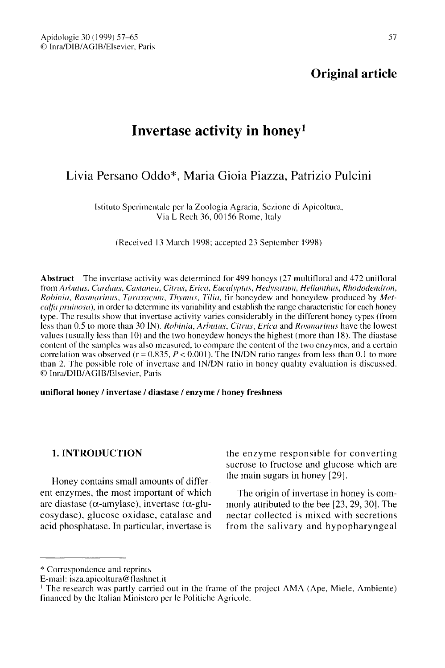## Original article

# Invertase activity in honey 1

## Livia Persano Oddo<sup>\*</sup>, Maria Gioia Piazza, Patrizio Pulcini

Istituto Sperimentale per la Zoologia Agraria, Sezione di Apicoltura, Via L Rech 36, 00156 Rome, Italy

(Received 13 March 1998; accepted 23 September 1998)

Abstract - The invertase activity was determined for 499 honeys (27 multifloral and 472 unifloral from Arbutus, Carduus, Castanea, Citrus, Erica, Eucalyptus, Hedysarum, Helianthus, Rhododendron, Robinia, Rosmarinus, Taraxacum, Thymus, Tilia, fir honeydew and honeydew produced by Metcalfa pruinosa), in order to determine its variability and establish the range characteristic for each honey type. The results show that invertase activity varies considerably in the different honey types (from less than 0.5 to more than 30 IN). Robinia, Arbutus, Citrus, Erica and Rosmarinus have the lowest values (usually less than 10) and the two honeydew honeys the highest (more than 18). The diastase content of the samples was also measured, to compare the content of the two enzymes, and a certain correlation was observed ( $r = 0.835$ ,  $P < 0.001$ ). The IN/DN ratio ranges from less than 0.1 to more than 2. The possible role of invertase and IN/DN ratio in honey quality evaluation is discussed. © Inra/DIB/AGIB/Elsevier, Paris

#### unifloral honey / invertase / diastase / enzyme / honey freshness

## 1. INTRODUCTION

Honey contains small amounts of different enzymes, the most important of which are diastase (α-amylase), invertase (α-glucosydase), glucose oxidase, catalase and acid phosphatase. In particular, invertase is the enzyme responsible for converting sucrose to fructose and glucose which are the main sugars in honey [29].

The origin of invertase in honey is commonly attributed to the bee [23, 29, 30]. The nectar collected is mixed with secretions from the salivary and hypopharyngeal

<sup>\*</sup> Correspondence and reprints

E-mail: isza.apicoltura@flashnet.it

<sup>1</sup> The research was partly carried out in the frame of the project AMA (Ape, Miele, Ambiente) financed by the Italian Ministero per le Politiche Agricole.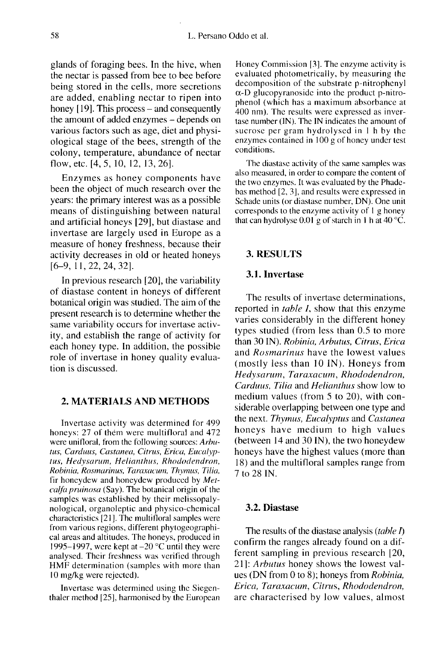glands of foraging bees. In the hive, when the nectar is passed from bee to bee before being stored in the cells, more secretions are added, enabling nectar to ripen into honey  $[19]$ . This process – and consequently the amount of added enzymes - depends on various factors such as age, diet and physiological stage of the bees, strength of the colony, temperature, abundance of nectar flow, etc. [4, 5, 10, 12, 13, 26].

Enzymes as honey components have been the object of much research over the years: the primary interest was as a possible means of distinguishing between natural and artificial honeys [29], but diastase and invertase are largely used in Europe as a measure of honey freshness, because their activity decreases in old or heated honeys [6-9, 11,22,24,32].

In previous research [20], the variability of diastase content in honeys of different botanical origin was studied. The aim of the present research is to determine whether the same variability occurs for invertase activity, and establish the range of activity for each honey type. In addition, the possible role of invertase in honey quality evaluation is discussed.

### 2. MATERIALS AND METHODS

Invertase activity was determined for 499 honeys: 27 of them were multifloral and 472 were unifloral, from the following sources: Arbutus, Carduus, Castanea, Citrus, Erica, Eucalyptus, Hedysarum, Helianthus, Rhododendron, Robinia, Rosmarinus, Taraxacum, Thymus, Tilia, fir honeydew and honeydew produced by Metcalfa pruinosa (Say). The botanical origin of the samples was established by their melissopalynological, organoleptic and physico-chemical characteristics [21]. The multifloral samples were from various regions, different phytogeographical areas and altitudes. The honeys, produced in 1995–1997, were kept at  $-20$  °C until they were analysed. Their freshness was verified through HMF determination (samples with more than 10 mg/kg were rejected).

Invertase was determined using the Siegenthaler method [25], harmonised by the European Honey Commission [3]. The enzyme activity is evaluated photometrically, by measuring the decomposition of the substrate p-nitrophenyl α-D glucopyranoside into the product p-nitrophenol (which has a maximum absorbance at 400 nm). The results were expressed as invertase number (IN). The IN indicates the amount of sucrose per gram hydrolysed in I h by the enzymes contained in 100 g of honey under test conditions.

The diastase activity of the same samples was also measured, in order to compare the content of the two enzymes. It was evaluated by the Phadebas method [2, 3], and results were expressed in Schade units (or diastase number, DN). One unit corresponds to the enzyme activity of I g honey that can hydrolyse 0.01 g of starch in 1 h at 40  $^{\circ}$ C.

### 3. RESULTS

## 3.1. Invertase

The results of invertase determinations, reported in *table I*, show that this enzyme varies considerably in the different honey types studied (from less than 0.5 to more than 30 IN). Robinia, Arbutus, Citrus, Erica and Rosmarinus have the lowest values (mostly less than 10 IN). Honeys from Hedysarum, Taraxacum, Rhododendron, Carduus, Tilia and Helianthus show low to medium values (from 5 to 20), with considerable overlapping between one type and the next. Thymus, Eucalyptus and Castanea honeys have medium to high values (between 14 and 30 IN), the two honeydew honeys have the highest values (more than 18) and the multifloral samples range from 7 to 28 IN.

## 3.2. Diastase

The results of the diastase analysis (table  $I$ ) confirm the ranges already found on a different sampling in previous research [20, 21]: Arbutus honey shows the lowest values (DN from 0 to 8); honeys from Robinia, Erica, Taraxacum, Citrus, Rhododendron, are characterised by low values, almost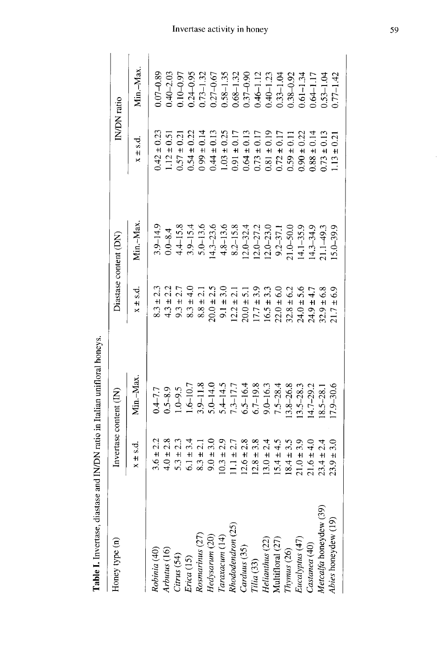| Honey type (n)           | Invertase content (IN)           |               |                               | Diastase content (DN) |                   | IN/DN ratio   |
|--------------------------|----------------------------------|---------------|-------------------------------|-----------------------|-------------------|---------------|
|                          | $x \pm s.d$                      | Min.-Max      | $x \pm s.d$                   | Min.-Max              | $x \pm s.d$       | Min.-Max.     |
| Robinia (40)             | $3.6 \pm 2.2$                    | $0.4 - 7.7$   | $8.3 \pm 2.3$                 | $3.9 - 14.9$          | $42 \pm 0.23$     | $-0.89$       |
| Arbutus (16)             | $4.0 \pm 2.8$                    | $0.5 - 8.9$   | $4.3 \pm 2.2$                 | $0.0 - 8.4$           | $.12 \pm 0.51$    | $0.40 - 2.03$ |
| Citrus (54)              | $5.3 \pm 2.3$                    | $1.0 - 9.5$   | $9.3 \pm 2.7$                 | $4.4 - 15.8$          | $0.57 \pm 0.21$   | $0.10 - 0.97$ |
| Erica (15)               | $6.1 \pm 3.4$                    | $1.6 - 10.7$  | $8.3 \pm 4.0$                 | $3.9 - 15.4$          | $0.54 \pm 0.22$   | $0.24 - 0.95$ |
| Rosmarinus (27)          | $8.3 \pm 2.1$                    | $3.9 - 11.8$  | $\overline{c}$<br>$8.8 \pm 1$ | $5.0 - 13.6$          | 0.14              | $0.73 - 1.32$ |
| Hedysarum (20)           | $9.0 \pm 3.0$                    | $5.0 - 14.0$  | $20.0 \pm 1$                  | $4.3 - 23.6$          | $0.44 \pm 0.13$   | $0.27 - 0.67$ |
| $\Gamma$ araxacum $(14)$ | $10.3 \pm 2.9$                   | $5.4 - 14.5$  | $9.1 \pm 1$                   | $4.8 - 13.6$          | $1.03 \pm 0.25$   | $0.58 - 1.35$ |
| Rhododendron (25)        | $1.1 \pm 2.7$                    | $7.3 - 17.7$  | $\frac{1}{2}$<br>$12.2 \pm 2$ | $8.2 - 15.8$          | $0.17$<br>$0.17$  | $0.68 - 1.32$ |
| Carduus (35)             | $12.6 \pm 2.8$                   | $6.5 - 16.4$  | 51<br>$20.0 \pm 1$            | $12.0 - 32.4$         | $0.64 \pm 0.13$   | $0.37 - 0.90$ |
| Tilia (33)               | $12.8 \pm 3.8$                   | $6.7 - 19.8$  | 3.9<br>$17.7 \pm 1$           | $12.0 - 27.2$         | $0.73 \pm 0.17$   | $.46 - 1.12$  |
| Helianthus (22)          | $13.0 \pm 2.4$                   | $9.0 - 16.3$  | $16.5 \pm 3.3$                | $12.0 - 23.0$         | $0.81 \pm 0.19$   | $0.40 - 1.23$ |
| Multifloral (27)         | $5.4 \pm 4.5$                    | $7.5 - 28.4$  | $22.0 \pm 6.0$                | $9.2 - 37.$           | $0.72 \pm 0.17$   | $0.33 - 1.04$ |
| Thymus (26)              | $18.4 \pm 3.5$                   | $3.8 - 26.8$  | $82.8 \pm 6.2$                | $1.0 - 50.0$          | $0.59 \pm 0.11$   | $0.38 - 0.92$ |
| Eucalyptus (47)          | 39<br>$21.0 \pm 1$               | $3.5 - 28.3$  | $24.0 \pm 5.6$                | $(4.1 - 35.9)$        | $0.90 \pm 0.22$   | $0.61 - 1.34$ |
| Castanea (40)            | $21.6 \pm 4.0$                   | $14.7 - 29.2$ | $24.9 \pm 4.7$                | $4.3 - 34.9$          | $0.88 \pm 0.14$   | $0.64 - 1.17$ |
| Metcalfa honeydew (39)   | 2.4<br>$23.4 \pm$                | $8.5 - 28.$   | 6.8<br>$32.9 +$               | $1.1 - 49.3$          | $0.73 \pm 0.13$   | $0.53 - 1.04$ |
| Abies honeydew (19)      | $\overline{3.0}$<br>$23.9 \pm 7$ | $7.9 - 30.6$  | $\frac{6}{9}$<br>$21.7 \pm$   | $15.0 - 39.9$         | $\pm 0.21$<br>113 | $0.77 - 1.42$ |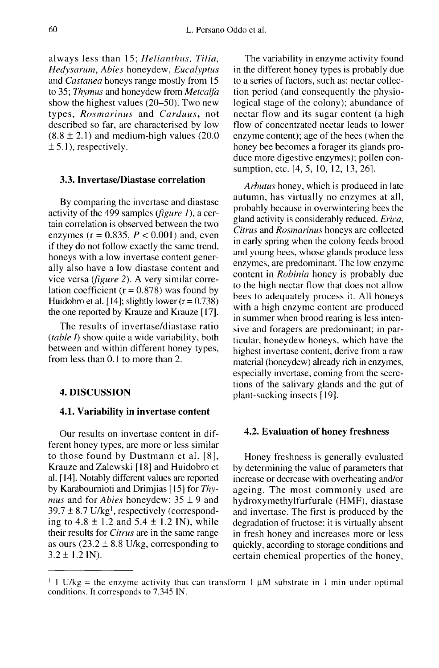always less than 15; Helianthus, Tilia, Hedysarum, Abies honeydew, Eucalyptus and Castanea honeys range mostly from 15 to 35; Thymus and honeydew from Metcalfa show the highest values (20-50). Two new types, Rosmarinus and Carduus, not described so far, are characterised by low  $(8.8 \pm 2.1)$  and medium-high values  $(20.0)$  $\pm$  5.1), respectively.

#### 3.3. Invertase/Diastase correlation

By comparing the invertase and diastase activity of the 499 samples (*figure 1*), a certain correlation is observed between the two enzymes ( $r = 0.835$ ,  $P < 0.001$ ) and, even if they do not follow exactly the same trend, honeys with a low invertase content generally also have a low diastase content and vice versa (figure 2). A very similar correlation coefficient ( $r = 0.878$ ) was found by Huidobro et al. [14]; slightly lower  $(r = 0.738)$ the one reported by Krauze and Krauze [17].

The results of invertase/diastase ratio (table  $I$ ) show quite a wide variability, both between and within different honey types, from less than 0.1 to more than 2.

### 4. DISCUSSION

#### 4.1. Variability in invertase content

Our results on invertase content in different honey types, are more or less similar to those found by Dustmann et al. [8], Krauze and Zalewski [ 18] and Huidobro et al. [ 14]. Notably different values are reported by Karaboumioti and Drimjias [15] for Thy *mus* and for *Abies* honeydew:  $35 \pm 9$  and  $39.7 \pm 8.7$  U/kg<sup>1</sup>, respectively (corresponding to  $4.8 \pm 1.2$  and  $5.4 \pm 1.2$  IN), while their results for Citrus are in the same range as ours ( $23.2 \pm 8.8$  U/kg, corresponding to  $3.2 \pm 1.2$  IN).

The variability in enzyme activity found in the different honey types is probably due to a series of factors, such as: nectar collection period (and consequently the physiological stage of the colony); abundance of nectar flow and its sugar content (a high flow of concentrated nectar leads to lower enzyme content); age of the bees (when the honey bee becomes a forager its glands produce more digestive enzymes); pollen consumption, etc. [4, 5, 10, 12, 13, 26].

Arbutus honey, which is produced in late autumn, has virtually no enzymes at all, probably because in overwintering bees the gland activity is considerably reduced. Erica, Citrus and Rosmarinus honeys are collected in early spring when the colony feeds brood and young bees, whose glands produce less enzymes, are predominant. The low enzyme content in Robinia honey is probably due to the high nectar flow that does not allow bees to adequately process it. All honeys with a high enzyme content are produced in summer when brood rearing is less intensive and foragers are predominant; in particular, honeydew honeys, which have the highest invertase content, derive from a raw material (honeydew) already rich in enzymes, especially invertase, coming from the secretions of the salivary glands and the gut of plant-sucking insects [ 19].

#### 4.2. Evaluation of honey freshness

Honey freshness is generally evaluated by determining the value of parameters that increase or decrease with overheating and/or ageing. The most commonly used are hydroxymethylfurfurale (HMF), diastase and invertase. The first is produced by the degradation of fructose: it is virtually absent in fresh honey and increases more or less quickly, according to storage conditions and certain chemical properties of the honey,

<sup>&</sup>lt;sup>1</sup> 1 U/kg = the enzyme activity that can transform 1  $\mu$ M substrate in 1 min under optimal conditions. It corresponds to 7.345 IN.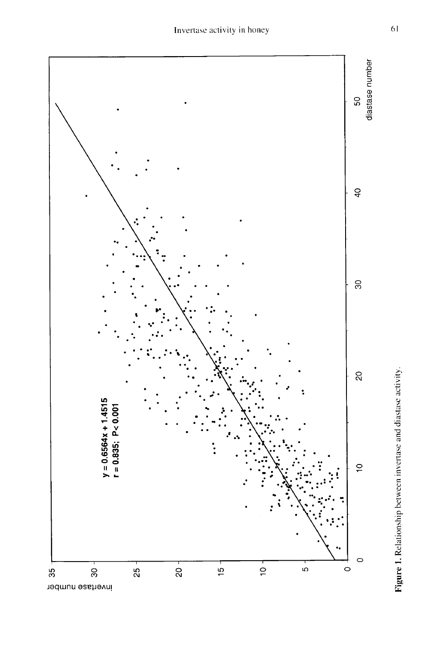

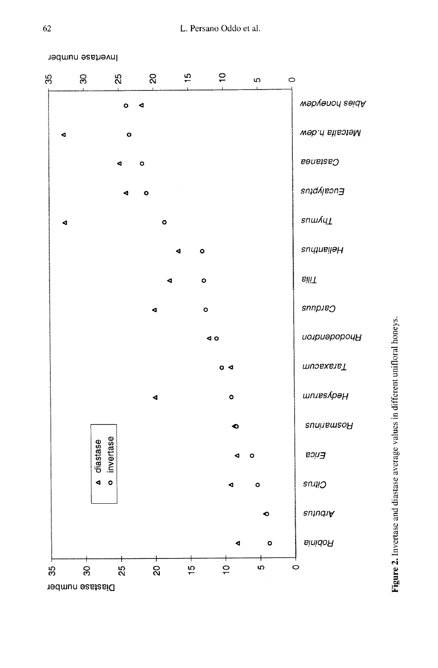



Figure 2. Invertase and diastase average values in different unifloral honeys.

Invertase number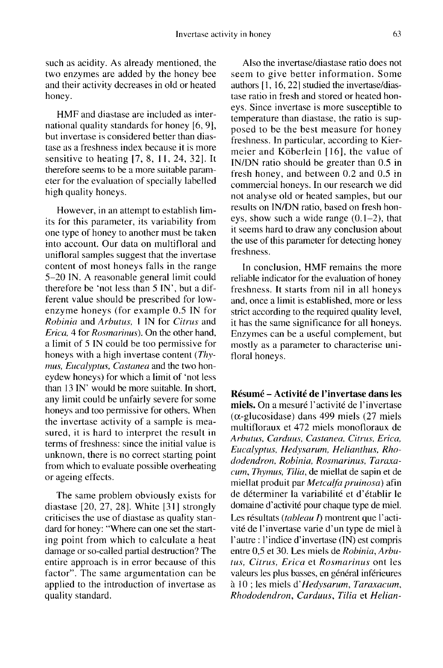such as acidity. As already mentioned, the two enzymes are added by the honey bee and their activity decreases in old or heated honey.

HMF and diastase are included as international quality standards for honey [6, 9], but invertase is considered better than diastase as a freshness index because it is more sensitive to heating [7, 8, 11, 24, 32]. It therefore seems to be a more suitable parameter for the evaluation of specially labelled high quality honeys.

However, in an attempt to establish limits for this parameter, its variability from one type of honey to another must be taken into account. Our data on multifloral and unifloral samples suggest that the invertase content of most honeys falls in the range 5-20 IN. A reasonable general limit could therefore be 'not less than 5 IN', but a different value should be prescribed for lowenzyme honeys (for example 0.5 IN for Robinia and Arbutus, I IN for Citrus and Erica, 4 for Rosmarinus). On the other hand, a limit of 5 IN could be too permissive for honeys with a high invertase content (*Thy*mus, Eucalyptus, Castanea and the two honeydew honeys) for which a limit of 'not less than 13 IN' would be more suitable. In short, any limit could be unfairly severe for some honeys and too permissive for others. When the invertase activity of a sample is measured, it is hard to interpret the result in terms of freshness: since the initial value is unknown, there is no correct starting point from which to evaluate possible overheating or ageing effects.

The same problem obviously exists for diastase [20, 27, 28]. White [31] strongly criticises the use of diastase as quality standard for honey: "Where can one set the starting point from which to calculate a heat damage or so-called partial destruction? The entire approach is in error because of this factor". The same argumentation can be applied to the introduction of invertase as quality standard.

Also the invertase/diastase ratio does not seem to give better information. Some authors [1, 16, 22] studied the invertase/diastase ratio in fresh and stored or heated honeys. Since invertase is more susceptible to temperature than diastase, the ratio is supposed to be the best measure for honey freshness. In particular, according to Kiermeier and Köberlein [16], the value of IN/DN ratio should be greater than 0.5 in fresh honey, and between 0.2 and 0.5 in commercial honeys. In our research we did not analyse old or heated samples, but our results on IN/DN ratio, based on fresh honeys, show such a wide range  $(0.1-2)$ , that it seems hard to draw any conclusion about the use of this parameter for detecting honey freshness.

In conclusion, HMF remains the more reliable indicator for the evaluation of honey freshness. It starts from nil in all honeys and, once a limit is established, more or less strict according to the required quality level, it has the same significance for all honeys. Enzymes can be a useful complement, but mostly as a parameter to characterise unifloral honeys.

Résumé - Activité de l'invertase dans les miels. On a mesuré l'activité de l'invertase (α-glucosidase) dans 499 miels (27 miels multifloraux et 472 miels monofloraux de Arbutus, Carduus, Castanea, Citrus, Erica, Eucalyptus, Hedysarum, Helianthus, Rhododendron, Robinia, Rosmarinus, Taraxacum, Thymus, Tilia, de miellat de sapin et de miellat produit par Metcalfa pruinosa) afin de déterminer la variabilité et d'établir le domaine d'activité pour chaque type de miel. Les résultats (tableau I) montrent que l'activité de l'invertase varie d'un type de miel à l'autre : l'indice d'invertase (IN) est compris entre 0,5 et 30. Les miels de Robinia, Arbutus, Citrus, Erica et Rosmarinus ont les valeurs les plus basses, en général inférieures à 10 ; les miels d'Hedysarum, Taraxacum, Rhododendron, Carduus, Tilia et Helian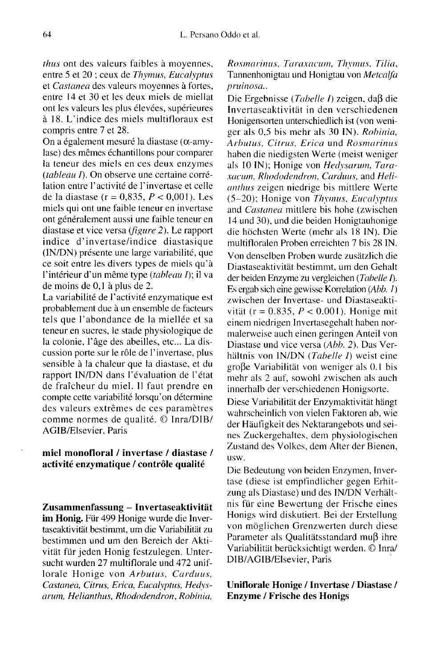thus ont des valeurs faibles à moyennes, entre 5 et 20 ; ceux de Thymus, Eucalyptus et Castanea des valeurs moyennes à fortes, entre 14 et 30 et les deux miels de miellat ont les valeurs les plus élevées, supérieures à 18. L'indice des miels multifloraux est compris entre 7 et 28.

On a également mesuré la diastase (α-amylase) des mêmes échantillons pour comparer la teneur des miels en ces deux enzymes  $(tableau D)$ . On observe une certaine corrélation entre l'activité de l'invertase et celle de la diastase ( $r = 0.835$ ,  $P < 0.001$ ). Les miels qui ont une faible teneur en invertase ont généralement aussi une faible teneur en diastase et vice versa (figure 2). Le rapport indice d'invertase/indice diastasique (IN/DN) présente une large variabilité, que ce soit entre les divers types de miels qu'à l'intérieur d'un même type (tableau I); il va de moins de 0,1 à plus de 2.

La variabilité de l'activité enzymatique est probablement due à un ensemble de facteurs tels que l'abondance de la miellée et sa teneur en sucres, le stade physiologique de la colonie, l'âge des abeilles, etc... La discussion porte sur le rôle de l'invertase, plus sensible à la chaleur que la diastase, et du rapport IN/DN dans l'évaluation de l'état de fraîcheur du miel. Il faut prendre en compte cette variabilité lorsqu'on détermine comme normes de qualité. © Inra/DIB/ AGIB/Elsevier, Paris

## miel monofloral / invertase / diastase / activité enzymatique / contrôle qualité

Zusammenfassung - Invertaseaktivität im Honig. Für 499 Honige wurde die Invertaseaktivität bestimmt, um die Variabilität zu bestimmen und um den Bereich der Aktivität für jeden Honig festzulegen. Untersucht wurden 27 multiflorale und 472 uniflorale Honige von Arbutus, Carduus, Castanea, Citrus, Erica, Eucalyptus, Hedys arum, Helianthus, Rhododendron, Robinia,

Rosmarinus, Taraxacum, Thymus, Tilia, Tannenhonigtau und Honigtau von Metcalfa pruinosa.,

Die Ergebnisse (Tabelle I) zeigen, daβ die Invertaseaktivität in den verschiedenen Honigensorten unterschiedlich ist (von weniger als 0,5 bis mehr als 30 IN). Rohinia, Arbutus, Citrus, Erica und Rosmarinus haben die niedigsten Werte (meist weniger als 10 IN); Honige von Hedysarum, Taraxacum, Rhododendron, Carduus, and Helianthus zeigen niedrige bis mittlere Werte (5-20); Honige von Thymus, Eucalyptus and Castanea mittlere bis hohe (zwischen 14 und 30), und die beiden Honigtauhonige die höchsten Werte (mehr als 18 IN). Die multifloralen Proben erreichten 7 bis 28 IN. Von denselben Proben wurde zusätzlich die Diastaseaktivität bestimmt, um den Gehalt der beiden Enzyme zu vergleichen (Tabelle I). Es ergab sich eine gewisse Korrelation (Abb. 1) zwischen der Invertase- und Diastaseaktivität ( $r = 0.835$ ,  $P < 0.001$ ). Honige mit einem niedrigen Invertasegehalt haben normalerweise auch einen geringen Anteil von Diastase und vice versa (Abb. 2). Das Verhältnis von IN/DN (Tabelle I) weist eine große Variabilität von weniger als 0.1 bis mehr als 2 auf, sowohl zwischen als auch innerhalb der verschiedenen Honigsorte.

Diese Variabilität der Enzymaktivität hängt wahrscheinlich von vielen Faktoren ab, wie der Häufigkeit des Nektarangebots und seines Zuckergehaltes, dem physiologischen Zustand des Volkes, dem Alter der Bienen, usw.

Die Bedeutung von beiden Enzymen, Invertase (diese ist empfindlicher gegen Erhitzung als Diastase) und des IN/DN Verhältnis für eine Bewertung der Frische eines Honigs wird diskutiert. Bei der Erstellung von möglichen Grenzwerten durch diese Parameter als Qualitätsstandard muß ihre Variabilität berücksichtigt werden. © Inra/ DIB/AGIB/Elsevier, Paris

## Uniflorale Honige / Invertase / Diastase / Enzyme / Frische des Honigs